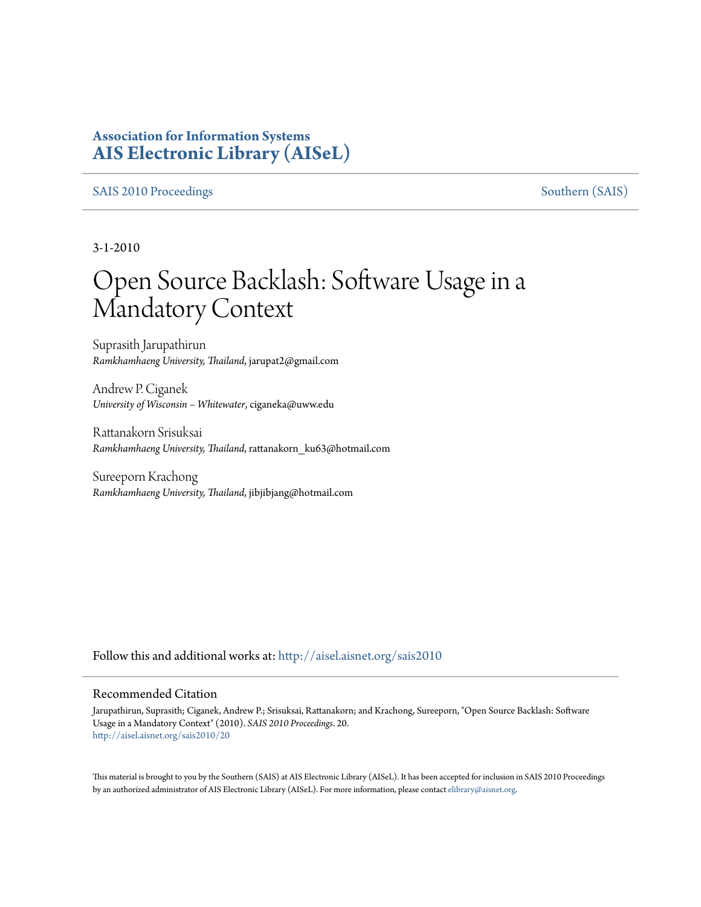### **Association for Information Systems [AIS Electronic Library \(AISeL\)](http://aisel.aisnet.org?utm_source=aisel.aisnet.org%2Fsais2010%2F20&utm_medium=PDF&utm_campaign=PDFCoverPages)**

#### [SAIS 2010 Proceedings](http://aisel.aisnet.org/sais2010?utm_source=aisel.aisnet.org%2Fsais2010%2F20&utm_medium=PDF&utm_campaign=PDFCoverPages) [Southern \(SAIS\)](http://aisel.aisnet.org/sais?utm_source=aisel.aisnet.org%2Fsais2010%2F20&utm_medium=PDF&utm_campaign=PDFCoverPages)

3-1-2010

# Open Source Backlash: Software Usage in a Mandatory Context

Suprasith Jarupathirun *Ramkhamhaeng University, Thailand*, jarupat2@gmail.com

Andrew P. Ciganek *University of Wisconsin – Whitewater*, ciganeka@uww.edu

Rattanakorn Srisuksai *Ramkhamhaeng University, Thailand*, rattanakorn\_ku63@hotmail.com

Sureeporn Krachong *Ramkhamhaeng University, Thailand*, jibjibjang@hotmail.com

Follow this and additional works at: [http://aisel.aisnet.org/sais2010](http://aisel.aisnet.org/sais2010?utm_source=aisel.aisnet.org%2Fsais2010%2F20&utm_medium=PDF&utm_campaign=PDFCoverPages)

#### Recommended Citation

Jarupathirun, Suprasith; Ciganek, Andrew P.; Srisuksai, Rattanakorn; and Krachong, Sureeporn, "Open Source Backlash: Software Usage in a Mandatory Context" (2010). *SAIS 2010 Proceedings*. 20. [http://aisel.aisnet.org/sais2010/20](http://aisel.aisnet.org/sais2010/20?utm_source=aisel.aisnet.org%2Fsais2010%2F20&utm_medium=PDF&utm_campaign=PDFCoverPages)

This material is brought to you by the Southern (SAIS) at AIS Electronic Library (AISeL). It has been accepted for inclusion in SAIS 2010 Proceedings by an authorized administrator of AIS Electronic Library (AISeL). For more information, please contact [elibrary@aisnet.org](mailto:elibrary@aisnet.org%3E).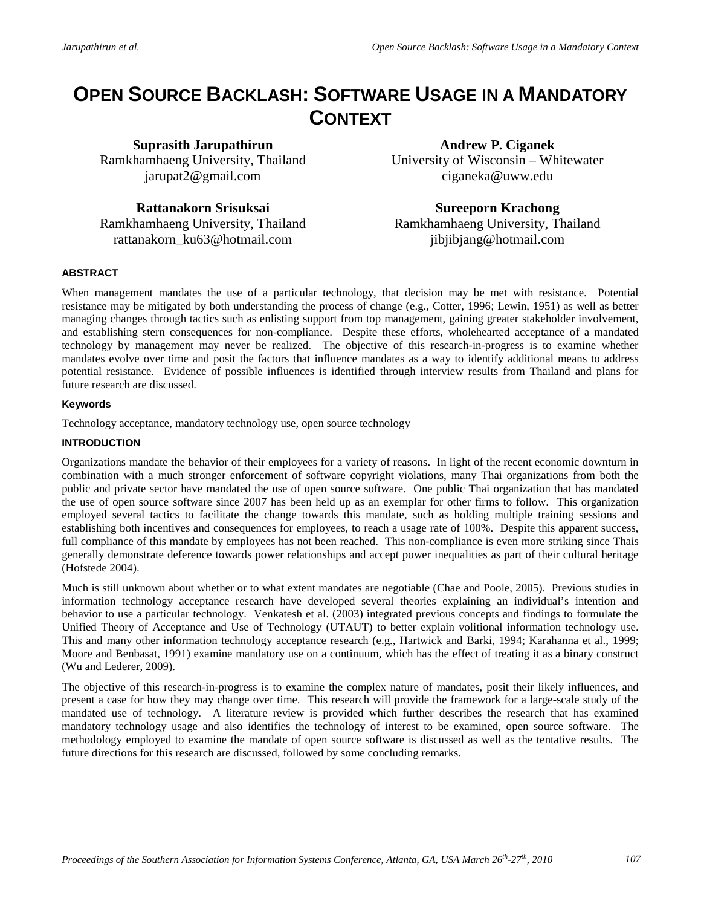## **OPEN SOURCE BACKLASH: SOFTWARE USAGE IN A MANDATORY CONTEXT**

**Suprasith Jarupathirun** Ramkhamhaeng University, Thailand jarupat2@gmail.com

**Rattanakorn Srisuksai** Ramkhamhaeng University, Thailand rattanakorn\_ku63@hotmail.com

**Andrew P. Ciganek** University of Wisconsin – Whitewater ciganeka@uww.edu

**Sureeporn Krachong** Ramkhamhaeng University, Thailand jibjibjang@hotmail.com

#### **ABSTRACT**

When management mandates the use of a particular technology, that decision may be met with resistance. Potential resistance may be mitigated by both understanding the process of change (e.g., Cotter, 1996; Lewin, 1951) as well as better managing changes through tactics such as enlisting support from top management, gaining greater stakeholder involvement, and establishing stern consequences for non-compliance. Despite these efforts, wholehearted acceptance of a mandated technology by management may never be realized. The objective of this research-in-progress is to examine whether mandates evolve over time and posit the factors that influence mandates as a way to identify additional means to address potential resistance. Evidence of possible influences is identified through interview results from Thailand and plans for future research are discussed.

#### **Keywords**

Technology acceptance, mandatory technology use, open source technology

#### **INTRODUCTION**

Organizations mandate the behavior of their employees for a variety of reasons. In light of the recent economic downturn in combination with a much stronger enforcement of software copyright violations, many Thai organizations from both the public and private sector have mandated the use of open source software. One public Thai organization that has mandated the use of open source software since 2007 has been held up as an exemplar for other firms to follow. This organization employed several tactics to facilitate the change towards this mandate, such as holding multiple training sessions and establishing both incentives and consequences for employees, to reach a usage rate of 100%. Despite this apparent success, full compliance of this mandate by employees has not been reached. This non-compliance is even more striking since Thais generally demonstrate deference towards power relationships and accept power inequalities as part of their cultural heritage (Hofstede 2004).

Much is still unknown about whether or to what extent mandates are negotiable (Chae and Poole, 2005). Previous studies in information technology acceptance research have developed several theories explaining an individual's intention and behavior to use a particular technology. Venkatesh et al. (2003) integrated previous concepts and findings to formulate the Unified Theory of Acceptance and Use of Technology (UTAUT) to better explain volitional information technology use. This and many other information technology acceptance research (e.g., Hartwick and Barki, 1994; Karahanna et al., 1999; Moore and Benbasat, 1991) examine mandatory use on a continuum, which has the effect of treating it as a binary construct (Wu and Lederer, 2009).

The objective of this research-in-progress is to examine the complex nature of mandates, posit their likely influences, and present a case for how they may change over time. This research will provide the framework for a large-scale study of the mandated use of technology. A literature review is provided which further describes the research that has examined mandatory technology usage and also identifies the technology of interest to be examined, open source software. The methodology employed to examine the mandate of open source software is discussed as well as the tentative results. The future directions for this research are discussed, followed by some concluding remarks.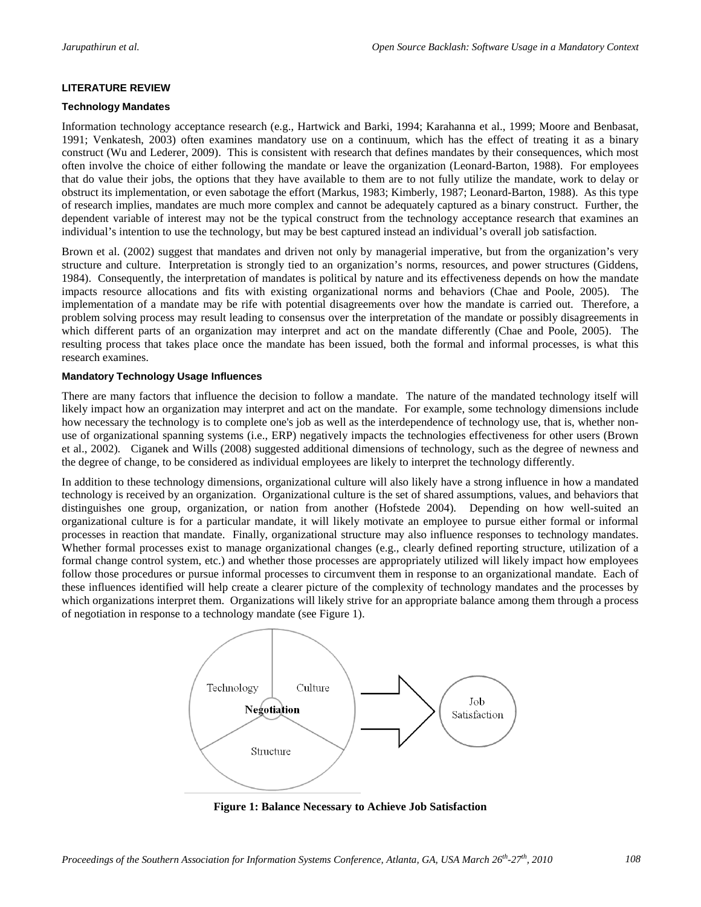#### **LITERATURE REVIEW**

#### **Technology Mandates**

Information technology acceptance research (e.g., Hartwick and Barki, 1994; Karahanna et al., 1999; Moore and Benbasat, 1991; Venkatesh, 2003) often examines mandatory use on a continuum, which has the effect of treating it as a binary construct (Wu and Lederer, 2009). This is consistent with research that defines mandates by their consequences, which most often involve the choice of either following the mandate or leave the organization (Leonard-Barton, 1988). For employees that do value their jobs, the options that they have available to them are to not fully utilize the mandate, work to delay or obstruct its implementation, or even sabotage the effort (Markus, 1983; Kimberly, 1987; Leonard-Barton, 1988). As this type of research implies, mandates are much more complex and cannot be adequately captured as a binary construct. Further, the dependent variable of interest may not be the typical construct from the technology acceptance research that examines an individual's intention to use the technology, but may be best captured instead an individual's overall job satisfaction.

Brown et al. (2002) suggest that mandates and driven not only by managerial imperative, but from the organization's very structure and culture. Interpretation is strongly tied to an organization's norms, resources, and power structures (Giddens, 1984). Consequently, the interpretation of mandates is political by nature and its effectiveness depends on how the mandate impacts resource allocations and fits with existing organizational norms and behaviors (Chae and Poole, 2005). The implementation of a mandate may be rife with potential disagreements over how the mandate is carried out. Therefore, a problem solving process may result leading to consensus over the interpretation of the mandate or possibly disagreements in which different parts of an organization may interpret and act on the mandate differently (Chae and Poole, 2005). The resulting process that takes place once the mandate has been issued, both the formal and informal processes, is what this research examines.

#### **Mandatory Technology Usage Influences**

There are many factors that influence the decision to follow a mandate. The nature of the mandated technology itself will likely impact how an organization may interpret and act on the mandate. For example, some technology dimensions include how necessary the technology is to complete one's job as well as the interdependence of technology use, that is, whether nonuse of organizational spanning systems (i.e., ERP) negatively impacts the technologies effectiveness for other users (Brown et al., 2002). Ciganek and Wills (2008) suggested additional dimensions of technology, such as the degree of newness and the degree of change, to be considered as individual employees are likely to interpret the technology differently.

In addition to these technology dimensions, organizational culture will also likely have a strong influence in how a mandated technology is received by an organization. Organizational culture is the set of shared assumptions, values, and behaviors that distinguishes one group, organization, or nation from another (Hofstede 2004). Depending on how well-suited an organizational culture is for a particular mandate, it will likely motivate an employee to pursue either formal or informal processes in reaction that mandate. Finally, organizational structure may also influence responses to technology mandates. Whether formal processes exist to manage organizational changes (e.g., clearly defined reporting structure, utilization of a formal change control system, etc.) and whether those processes are appropriately utilized will likely impact how employees follow those procedures or pursue informal processes to circumvent them in response to an organizational mandate. Each of these influences identified will help create a clearer picture of the complexity of technology mandates and the processes by which organizations interpret them. Organizations will likely strive for an appropriate balance among them through a process of negotiation in response to a technology mandate (see Figure 1).



**Figure 1: Balance Necessary to Achieve Job Satisfaction**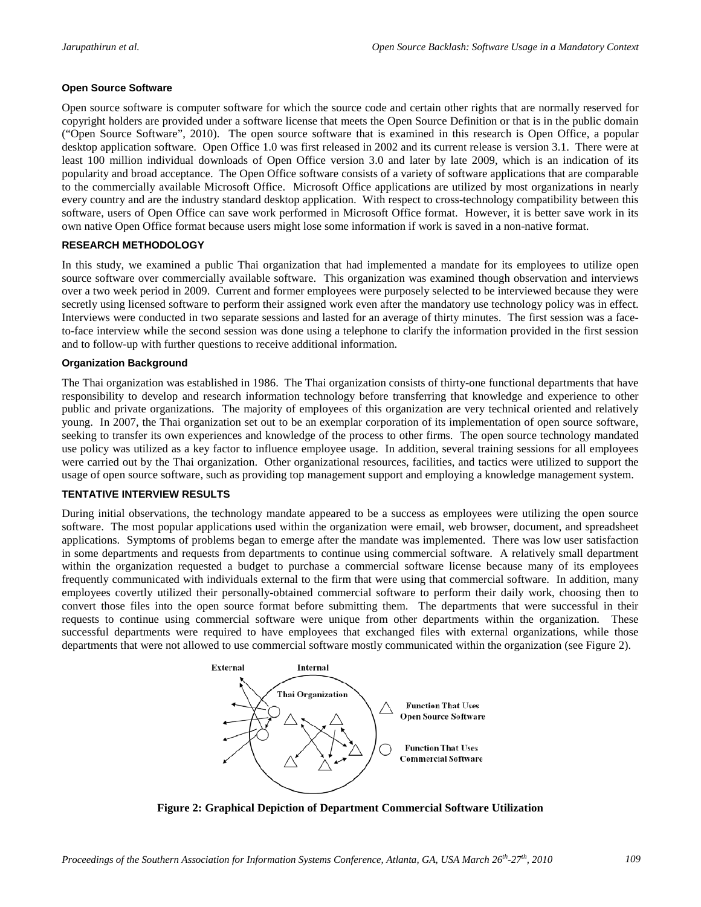#### **Open Source Software**

Open source software is computer software for which the source code and certain other rights that are normally reserved for copyright holders are provided under a software license that meets the Open Source Definition or that is in the public domain ("Open Source Software", 2010). The open source software that is examined in this research is Open Office, a popular desktop application software. Open Office 1.0 was first released in 2002 and its current release is version 3.1. There were at least 100 million individual downloads of Open Office version 3.0 and later by late 2009, which is an indication of its popularity and broad acceptance. The Open Office software consists of a variety of software applications that are comparable to the commercially available Microsoft Office. Microsoft Office applications are utilized by most organizations in nearly every country and are the industry standard desktop application. With respect to cross-technology compatibility between this software, users of Open Office can save work performed in Microsoft Office format. However, it is better save work in its own native Open Office format because users might lose some information if work is saved in a non-native format.

#### **RESEARCH METHODOLOGY**

In this study, we examined a public Thai organization that had implemented a mandate for its employees to utilize open source software over commercially available software. This organization was examined though observation and interviews over a two week period in 2009. Current and former employees were purposely selected to be interviewed because they were secretly using licensed software to perform their assigned work even after the mandatory use technology policy was in effect. Interviews were conducted in two separate sessions and lasted for an average of thirty minutes. The first session was a faceto-face interview while the second session was done using a telephone to clarify the information provided in the first session and to follow-up with further questions to receive additional information.

#### **Organization Background**

The Thai organization was established in 1986. The Thai organization consists of thirty-one functional departments that have responsibility to develop and research information technology before transferring that knowledge and experience to other public and private organizations. The majority of employees of this organization are very technical oriented and relatively young. In 2007, the Thai organization set out to be an exemplar corporation of its implementation of open source software, seeking to transfer its own experiences and knowledge of the process to other firms. The open source technology mandated use policy was utilized as a key factor to influence employee usage. In addition, several training sessions for all employees were carried out by the Thai organization. Other organizational resources, facilities, and tactics were utilized to support the usage of open source software, such as providing top management support and employing a knowledge management system.

#### **TENTATIVE INTERVIEW RESULTS**

During initial observations, the technology mandate appeared to be a success as employees were utilizing the open source software. The most popular applications used within the organization were email, web browser, document, and spreadsheet applications. Symptoms of problems began to emerge after the mandate was implemented. There was low user satisfaction in some departments and requests from departments to continue using commercial software. A relatively small department within the organization requested a budget to purchase a commercial software license because many of its employees frequently communicated with individuals external to the firm that were using that commercial software. In addition, many employees covertly utilized their personally-obtained commercial software to perform their daily work, choosing then to convert those files into the open source format before submitting them. The departments that were successful in their requests to continue using commercial software were unique from other departments within the organization. These successful departments were required to have employees that exchanged files with external organizations, while those departments that were not allowed to use commercial software mostly communicated within the organization (see Figure 2).



**Figure 2: Graphical Depiction of Department Commercial Software Utilization**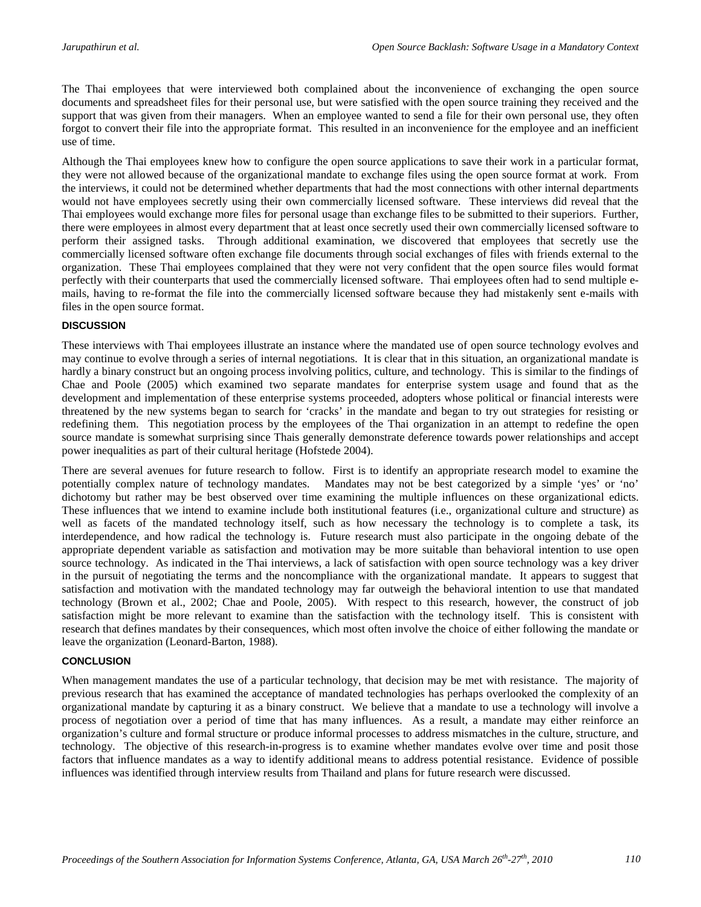The Thai employees that were interviewed both complained about the inconvenience of exchanging the open source documents and spreadsheet files for their personal use, but were satisfied with the open source training they received and the support that was given from their managers. When an employee wanted to send a file for their own personal use, they often forgot to convert their file into the appropriate format. This resulted in an inconvenience for the employee and an inefficient use of time.

Although the Thai employees knew how to configure the open source applications to save their work in a particular format, they were not allowed because of the organizational mandate to exchange files using the open source format at work. From the interviews, it could not be determined whether departments that had the most connections with other internal departments would not have employees secretly using their own commercially licensed software. These interviews did reveal that the Thai employees would exchange more files for personal usage than exchange files to be submitted to their superiors. Further, there were employees in almost every department that at least once secretly used their own commercially licensed software to perform their assigned tasks. Through additional examination, we discovered that employees that secretly use the commercially licensed software often exchange file documents through social exchanges of files with friends external to the organization. These Thai employees complained that they were not very confident that the open source files would format perfectly with their counterparts that used the commercially licensed software. Thai employees often had to send multiple emails, having to re-format the file into the commercially licensed software because they had mistakenly sent e-mails with files in the open source format.

#### **DISCUSSION**

These interviews with Thai employees illustrate an instance where the mandated use of open source technology evolves and may continue to evolve through a series of internal negotiations. It is clear that in this situation, an organizational mandate is hardly a binary construct but an ongoing process involving politics, culture, and technology. This is similar to the findings of Chae and Poole (2005) which examined two separate mandates for enterprise system usage and found that as the development and implementation of these enterprise systems proceeded, adopters whose political or financial interests were threatened by the new systems began to search for 'cracks' in the mandate and began to try out strategies for resisting or redefining them. This negotiation process by the employees of the Thai organization in an attempt to redefine the open source mandate is somewhat surprising since Thais generally demonstrate deference towards power relationships and accept power inequalities as part of their cultural heritage (Hofstede 2004).

There are several avenues for future research to follow. First is to identify an appropriate research model to examine the potentially complex nature of technology mandates. Mandates may not be best categorized by a simple 'yes' or 'no' dichotomy but rather may be best observed over time examining the multiple influences on these organizational edicts. These influences that we intend to examine include both institutional features (i.e., organizational culture and structure) as well as facets of the mandated technology itself, such as how necessary the technology is to complete a task, its interdependence, and how radical the technology is. Future research must also participate in the ongoing debate of the appropriate dependent variable as satisfaction and motivation may be more suitable than behavioral intention to use open source technology. As indicated in the Thai interviews, a lack of satisfaction with open source technology was a key driver in the pursuit of negotiating the terms and the noncompliance with the organizational mandate. It appears to suggest that satisfaction and motivation with the mandated technology may far outweigh the behavioral intention to use that mandated technology (Brown et al., 2002; Chae and Poole, 2005). With respect to this research, however, the construct of job satisfaction might be more relevant to examine than the satisfaction with the technology itself. This is consistent with research that defines mandates by their consequences, which most often involve the choice of either following the mandate or leave the organization (Leonard-Barton, 1988).

#### **CONCLUSION**

When management mandates the use of a particular technology, that decision may be met with resistance. The majority of previous research that has examined the acceptance of mandated technologies has perhaps overlooked the complexity of an organizational mandate by capturing it as a binary construct. We believe that a mandate to use a technology will involve a process of negotiation over a period of time that has many influences. As a result, a mandate may either reinforce an organization's culture and formal structure or produce informal processes to address mismatches in the culture, structure, and technology. The objective of this research-in-progress is to examine whether mandates evolve over time and posit those factors that influence mandates as a way to identify additional means to address potential resistance. Evidence of possible influences was identified through interview results from Thailand and plans for future research were discussed.